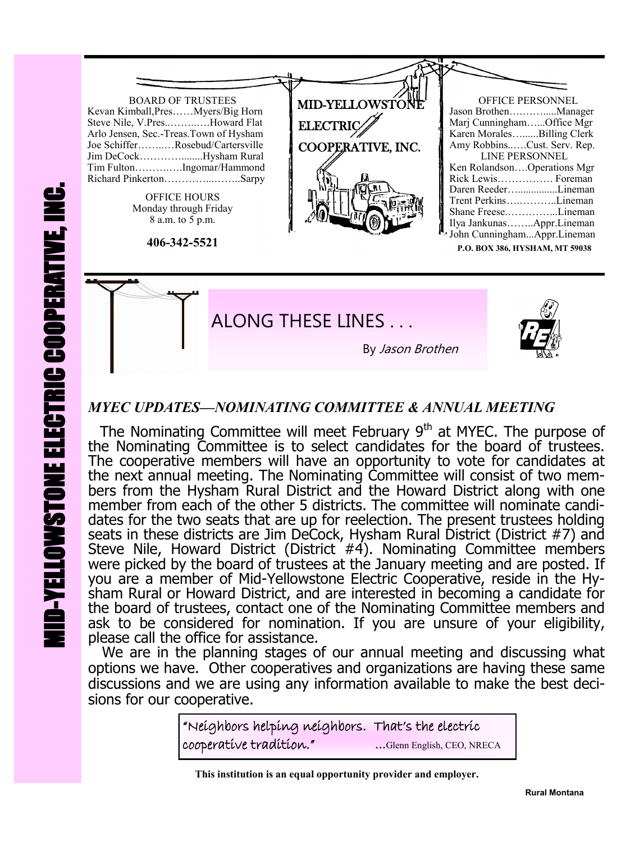

By Jason Brothen

## *MYEC UPDATES—NOMINATING COMMITTEE & ANNUAL MEETING*

The Nominating Committee will meet February  $9<sup>th</sup>$  at MYEC. The purpose of the Nominating Committee is to select candidates for the board of trustees. The cooperative members will have an opportunity to vote for candidates at the next annual meeting. The Nominating Committee will consist of two members from the Hysham Rural District and the Howard District along with one member from each of the other 5 districts. The committee will nominate candidates for the two seats that are up for reelection. The present trustees holding seats in these districts are Jim DeCock, Hysham Rural District (District #7) and Steve Nile, Howard District (District  $#4$ ). Nominating Committee members were picked by the board of trustees at the January meeting and are posted. If you are a member of Mid-Yellowstone Electric Cooperative, reside in the Hysham Rural or Howard District, and are interested in becoming a candidate for the board of trustees, contact one of the Nominating Committee members and ask to be considered for nomination. If you are unsure of your eligibility, please call the office for assistance.

 We are in the planning stages of our annual meeting and discussing what options we have. Other cooperatives and organizations are having these same discussions and we are using any information available to make the best decisions for our cooperative.

> "Neighbors helping neighbors. That's the electric cooperative tradition." ...Glenn English, CEO, NRECA

 **This institution is an equal opportunity provider and employer.**